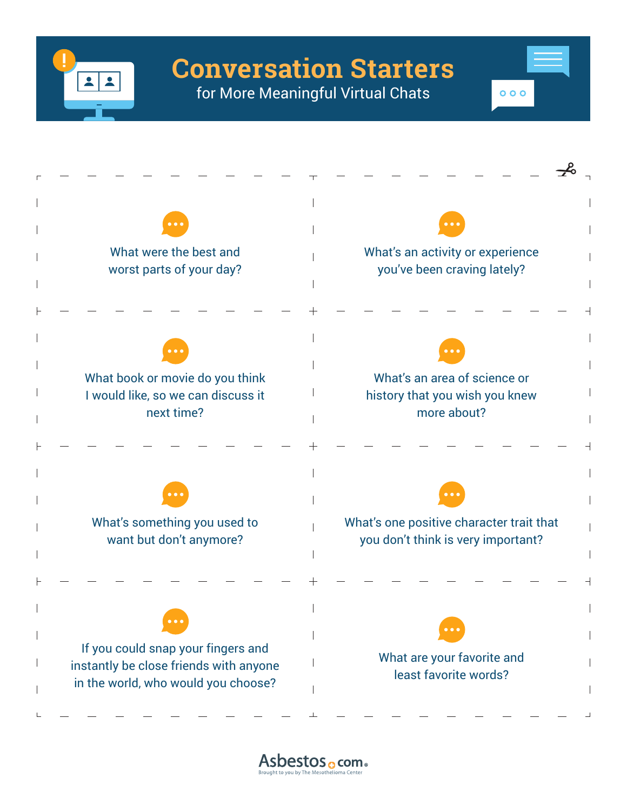

for More Meaningful Virtual Chats

 $000$ 



Asbestos <sub>o</sub> com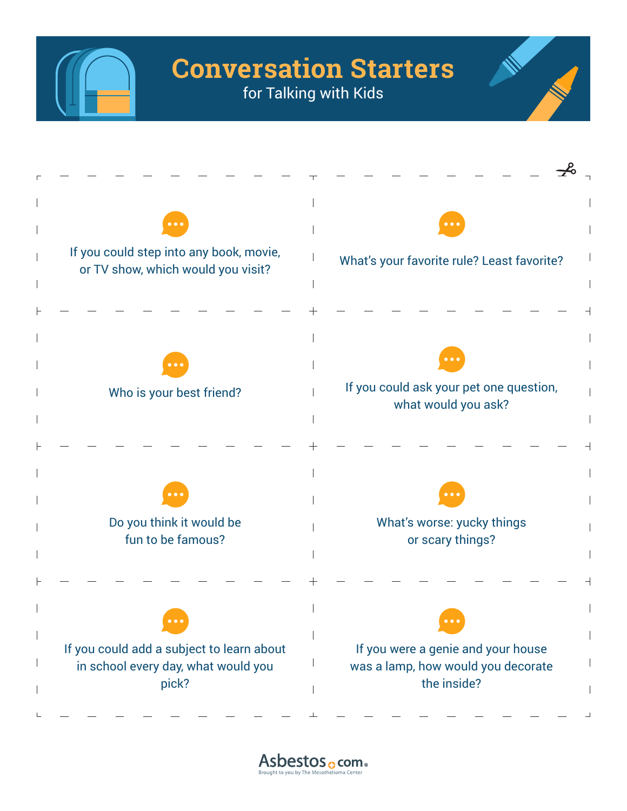

for Talking with Kids



Asbestos <sub>o</sub> com .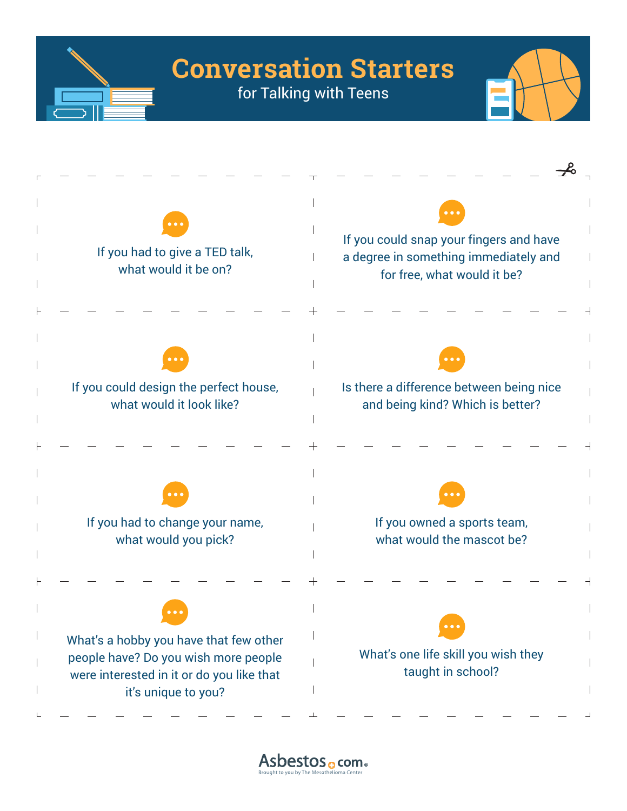



Asbestos <sub>o</sub> com .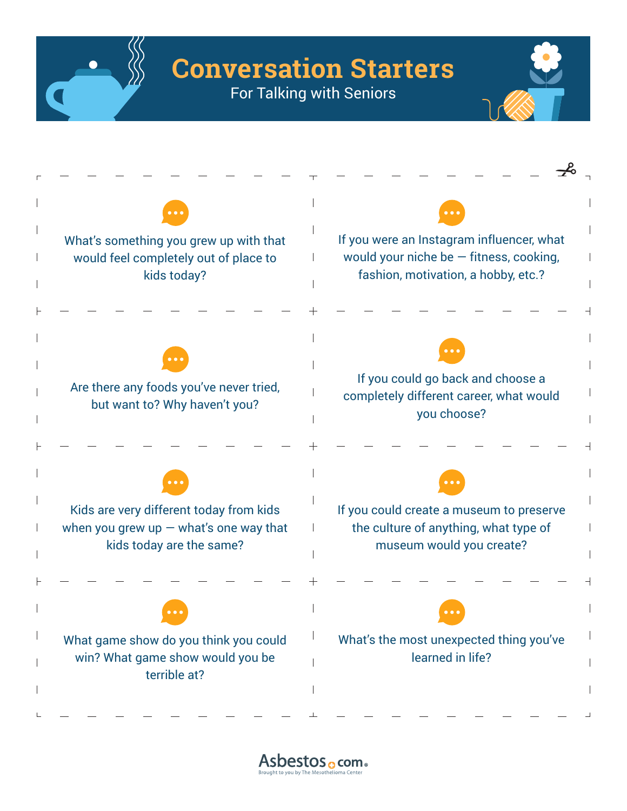

For Talking with Seniors



Asbestos <sub>o</sub> com